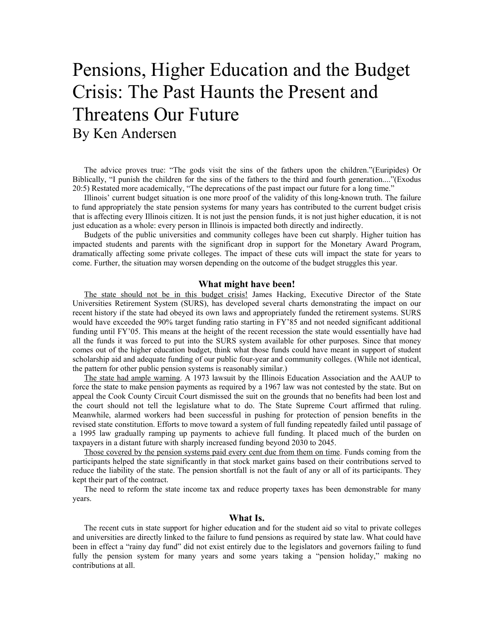## Pensions, Higher Education and the Budget Crisis: The Past Haunts the Present and Threatens Our Future By Ken Andersen

The advice proves true: "The gods visit the sins of the fathers upon the children."(Euripides) Or Biblically, "I punish the children for the sins of the fathers to the third and fourth generation...."(Exodus 20:5) Restated more academically, "The deprecations of the past impact our future for a long time."

Illinois' current budget situation is one more proof of the validity of this long-known truth. The failure to fund appropriately the state pension systems for many years has contributed to the current budget crisis that is affecting every Illinois citizen. It is not just the pension funds, it is not just higher education, it is not just education as a whole: every person in Illinois is impacted both directly and indirectly.

Budgets of the public universities and community colleges have been cut sharply. Higher tuition has impacted students and parents with the significant drop in support for the Monetary Award Program, dramatically affecting some private colleges. The impact of these cuts will impact the state for years to come. Further, the situation may worsen depending on the outcome of the budget struggles this year.

## **What might have been!**

The state should not be in this budget crisis! James Hacking, Executive Director of the State Universities Retirement System (SURS), has developed several charts demonstrating the impact on our recent history if the state had obeyed its own laws and appropriately funded the retirement systems. SURS would have exceeded the 90% target funding ratio starting in FY'85 and not needed significant additional funding until FY'05. This means at the height of the recent recession the state would essentially have had all the funds it was forced to put into the SURS system available for other purposes. Since that money comes out of the higher education budget, think what those funds could have meant in support of student scholarship aid and adequate funding of our public four-year and community colleges. (While not identical, the pattern for other public pension systems is reasonably similar.)

The state had ample warning. A 1973 lawsuit by the Illinois Education Association and the AAUP to force the state to make pension payments as required by a 1967 law was not contested by the state. But on appeal the Cook County Circuit Court dismissed the suit on the grounds that no benefits had been lost and the court should not tell the legislature what to do. The State Supreme Court affirmed that ruling. Meanwhile, alarmed workers had been successful in pushing for protection of pension benefits in the revised state constitution. Efforts to move toward a system of full funding repeatedly failed until passage of a 1995 law gradually ramping up payments to achieve full funding. It placed much of the burden on taxpayers in a distant future with sharply increased funding beyond 2030 to 2045.

Those covered by the pension systems paid every cent due from them on time. Funds coming from the participants helped the state significantly in that stock market gains based on their contributions served to reduce the liability of the state. The pension shortfall is not the fault of any or all of its participants. They kept their part of the contract.

The need to reform the state income tax and reduce property taxes has been demonstrable for many years.

## **What Is.**

The recent cuts in state support for higher education and for the student aid so vital to private colleges and universities are directly linked to the failure to fund pensions as required by state law. What could have been in effect a "rainy day fund" did not exist entirely due to the legislators and governors failing to fund fully the pension system for many years and some years taking a "pension holiday," making no contributions at all.